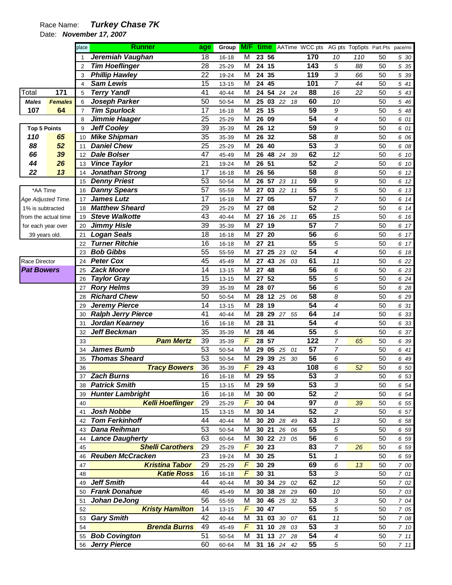## Race Name: **Turkey Chase 7K**

Date: **November 17, 2007** 

|                      |                | place          | <b>Runner</b>             | age             |           |                         |                   |             | Group <b>M/F time</b> AATime WCC pts AG pts Top5pts Part.Pts pace/mi |                         |     |    |          |
|----------------------|----------------|----------------|---------------------------|-----------------|-----------|-------------------------|-------------------|-------------|----------------------------------------------------------------------|-------------------------|-----|----|----------|
|                      |                |                | Jeremiah Vaughan          | $\overline{18}$ | $16 - 18$ | $\overline{\mathsf{M}}$ | $23\overline{56}$ |             | 170                                                                  | 10                      | 110 | 50 | 5 30     |
|                      |                | $\overline{2}$ | <b>Tim Hoeflinger</b>     | 28              | 25-29     | M                       | 24 15             |             | 143                                                                  | 5                       | 88  | 50 | 5 35     |
|                      |                | 3              | <b>Phillip Hawley</b>     | 22              | 19-24     | M                       | 24 35             |             | 119                                                                  | 3                       | 66  | 50 | 5 39     |
|                      |                | $\overline{4}$ | <b>Sam Lewis</b>          | 15              | $13 - 15$ | M                       | 24                | 45          | 101                                                                  | $\overline{7}$          | 44  | 50 | 5 41     |
| Total                | 171            | 5              | <b>Terry Yandl</b>        | 41              | 40-44     | M                       | 24                | 54 24 24    | 88                                                                   | 16                      | 22  | 50 | 5 43     |
| <b>Males</b>         | <b>Females</b> | 6              | Joseph Parker             | 50              | 50-54     | M                       | 25                | 03 22       | 60<br>18                                                             | 10                      |     | 50 | 5 46     |
| 107                  | 64             | $\overline{7}$ | <b>Tim Spurlock</b>       | 17              | $16 - 18$ | M                       | 25                | 15          | 59                                                                   | 9                       |     | 50 | 5 48     |
|                      |                | 8              | Jimmie Haager             | 25              | 25-29     | M                       | 26 09             |             | $\overline{54}$                                                      | 4                       |     | 50 | 6 01     |
| <b>Top 5 Points</b>  |                | 9              | <b>Jeff Cooley</b>        | 39              | 35-39     | M                       | 26                | 12          | 59                                                                   | 9                       |     | 50 | 6 01     |
| 110                  | 65             | 10             | <b>Mike Shipman</b>       | $\overline{35}$ | 35-39     | M                       | 26                | 32          | $\overline{58}$                                                      | 8                       |     | 50 | 6 06     |
| 88                   | 52             | 11             | <b>Daniel Chew</b>        | 25              | 25-29     | M                       | 26                | 40          | $\overline{53}$                                                      | 3                       |     | 50 | 6 08     |
| 66                   | 39             | 12             | <b>Dale Bolser</b>        | 47              | 45-49     | M                       | 26                | 48 24 39    | 62                                                                   | 12                      |     | 50 | 6 10     |
| 44                   | 26             | 13             | <b>Vince Taylor</b>       | 21              | 19-24     | M                       | 26                | 51          | $\overline{52}$                                                      | 2                       |     | 50 | 6 10     |
| 22                   | 13             | 14             | <b>Jonathan Strong</b>    | 17              | $16 - 18$ | M                       | 26 56             |             | $\overline{58}$                                                      | 8                       |     | 50 | 6 12     |
|                      |                | 15             | <b>Denny Priest</b>       | 53              | 50-54     | M                       | 26                | 57 23 11    | 59                                                                   | 9                       |     | 50 | 6 12     |
| *AA Time             |                | 16             | <b>Danny Spears</b>       | 57              | 55-59     | M                       | ${\bf 27}$        | 03 22       | $\overline{55}$<br>11                                                | 5                       |     | 50 | 6 13     |
| Age Adjusted Time.   |                | 17             | <b>James Lutz</b>         | 17              | $16 - 18$ | M                       | 27                | 05          | $\overline{57}$                                                      | $\overline{7}$          |     | 50 | 6 14     |
| 1% is subtracted     |                | 18             | <b>Matthew Sheard</b>     | 29              | 25-29     | M                       | 27                | 08          | $\overline{52}$                                                      | $\overline{\mathbf{c}}$ |     | 50 | 6 14     |
| from the actual time |                | 19             | <b>Steve Walkotte</b>     | 43              | $40 - 44$ | M                       | 27                | 16 26 11    | 65                                                                   | 15                      |     | 50 | 6 16     |
| for each year over   |                | 20             | <b>Jimmy Hisle</b>        | 39              | 35-39     | M                       | 27                | 19          | $\overline{57}$                                                      | 7                       |     | 50 | 6 17     |
| 39 years old.        |                | 21             | <b>Logan Seals</b>        | 18              | $16 - 18$ | M                       | 27                | 20          | 56                                                                   | 6                       |     | 50 | 6 17     |
|                      |                | 22             | <b>Turner Ritchie</b>     | 16              | $16 - 18$ | M                       | 27                | 21          | $\overline{55}$                                                      | 5                       |     | 50 | 6 17     |
|                      |                | 23             | <b>Bob Gibbs</b>          | 55              | 55-59     | M                       | 27                | 25<br>23 02 | $\overline{54}$                                                      | 4                       |     | 50 | 6 18     |
| Race Director        |                | 24             | <b>Peter Cox</b>          | 45              | 45-49     | M                       | 27                | 43 26 03    | 61                                                                   | 11                      |     | 50 | 6 22     |
| <b>Pat Bowers</b>    |                | 25             | <b>Zack Moore</b>         | 14              | $13 - 15$ | M                       | 27                | 48          | 56                                                                   | 6                       |     | 50 | 6 23     |
|                      |                | 26             | <b>Taylor Gray</b>        | 15              | $13 - 15$ | M                       | ${\bf 27}$        | 52          | 55                                                                   | 5                       |     | 50 | 6 24     |
|                      |                | 27             | <b>Rory Helms</b>         | $\overline{39}$ | 35-39     | M                       | 28                | 07          | $\overline{56}$                                                      | 6                       |     | 50 | 6 28     |
|                      |                | 28             | <b>Richard Chew</b>       | 50              | 50-54     | M                       | 28                | 12 25 06    | 58                                                                   | 8                       |     | 50 | 6 29     |
|                      |                | 29             | <b>Jeremy Pierce</b>      | 14              | $13 - 15$ | M                       | 28                | 19          | $\overline{54}$                                                      | 4                       |     | 50 | 6 31     |
|                      |                | 30             | <b>Ralph Jerry Pierce</b> | 41              | 40-44     | M                       | 28                | 29 27 55    | 64                                                                   | 14                      |     | 50 | 6 33     |
|                      |                | 31             | Jordan Kearney            | 16              | $16 - 18$ | M                       | 28                | 31          | $\overline{54}$                                                      | 4                       |     | 50 | 6 33     |
|                      |                | 32             | <b>Jeff Beckman</b>       | 35              | 35-39     | M                       | 28                | 46          | $\overline{55}$                                                      | 5                       |     | 50 | 6 37     |
|                      |                | 33             | <b>Pam Mertz</b>          | 39              | 35-39     | $\sqrt{2}$              | 28                | 57          | 122                                                                  | $\overline{7}$          | 65  | 50 | 6 39     |
|                      |                | 34             | James Bumb                | 53              | 50-54     | M                       | 29                | 05<br>25 01 | $\overline{57}$                                                      | 7                       |     | 50 | 6 41     |
|                      |                | 35             | <b>Thomas Sheard</b>      | 53              | 50-54     | M                       | 29                | 39 25 30    | $\overline{56}$                                                      | 6                       |     | 50 | 6 49     |
|                      |                | 36             | <b>Tracy Bowers</b>       | 36              | 35-39     | $\sqrt{2}$              | 29 43             |             | 108                                                                  | 6                       | 52  | 50 | 6 50     |
|                      |                |                | <b>Zach Burns</b>         | 16              | $16 - 18$ | $\overline{\mathsf{M}}$ | 29 55             |             | 53                                                                   | 3                       |     | 50 | 6 53     |
|                      |                | 38             | <b>Patrick Smith</b>      | 15              | $13 - 15$ | М                       | 29 59             |             | 53                                                                   | 3                       |     | 50 | 6 54     |
|                      |                | 39             | <b>Hunter Lambright</b>   | 16              | $16 - 18$ | М                       | 30 00             |             | $\overline{52}$                                                      | $\overline{c}$          |     | 50 | 6 54     |
|                      |                | 40             | <b>Kelli Hoeflinger</b>   | 29              | 25-29     | F                       | 30 04             |             | 97                                                                   | 8                       | 39  | 50 | 6 55     |
|                      |                | 41             | Josh Nobbe                | 15              | $13 - 15$ | М                       | 30 14             |             | $\overline{52}$                                                      | $\overline{c}$          |     | 50 | 6 57     |
|                      |                | 42             | <b>Tom Ferkinhoff</b>     | 44              | 40-44     | М                       |                   | 30 20 28 49 | 63                                                                   | 13                      |     | 50 | 6 58     |
|                      |                | 43             | Dana Reihman              | 53              | 50-54     | М                       |                   | 30 21 26 06 | 55                                                                   | 5                       |     | 50 | 6 59     |
|                      |                | 44             | <b>Lance Daugherty</b>    | 63              | 60-64     | М                       |                   | 30 22 23 05 | 56                                                                   | 6                       |     | 50 | 6 59     |
|                      |                | 45             | <b>Shelli Carothers</b>   | 29              | 25-29     | F                       | 30 23             |             | 83                                                                   | $\overline{7}$          | 26  | 50 | 6 59     |
|                      |                | 46             | <b>Reuben McCracken</b>   | 23              | 19-24     | М                       | 30 25             |             | 51                                                                   | $\pmb{\mathcal{1}}$     |     | 50 | 6 59     |
|                      |                | 47             | <b>Kristina Tabor</b>     | 29              | 25-29     | F                       | 30 29             |             | 69                                                                   | 6                       | 13  | 50 | 7 00     |
|                      |                | 48             | <b>Katie Ross</b>         | 16              | $16 - 18$ | $\sqrt{F}$              | 30 31             |             | 53                                                                   | 3                       |     | 50 | 7 01     |
|                      |                | 49             | <b>Jeff Smith</b>         | 44              | 40-44     | М                       |                   | 30 34 29 02 | 62                                                                   | 12                      |     | 50 | 7 02     |
|                      |                | 50             | <b>Frank Donahue</b>      | 46              | 45-49     | М                       |                   | 30 38 28 29 | 60                                                                   | 10                      |     | 50 | 7 03     |
|                      |                | 51             | Johan DeJong              | 56              | 55-59     | М                       |                   | 30 46 25 32 | 53                                                                   | 3                       |     | 50 | 7 04     |
|                      |                | 52             | <b>Kristy Hamilton</b>    | 14              | $13 - 15$ | F                       | 30 47             |             | 55                                                                   | 5                       |     | 50 | $7\,$ 05 |
|                      |                | 53             | <b>Gary Smith</b>         | 42              | 40-44     | М                       |                   | 31 03 30 07 | 61                                                                   | 11                      |     | 50 | 7 08     |
|                      |                | 54             | <b>Brenda Burns</b>       | 49              | 45-49     | $\sqrt{r}$              |                   | 31 10 28 03 | 53                                                                   | 3                       |     | 50 | 7 10     |
|                      |                | 55             | <b>Bob Covington</b>      | 51              | 50-54     | М                       |                   | 31 13 27 28 | 54                                                                   | 4                       |     | 50 | 711      |
|                      |                |                | 56 Jerry Pierce           | 60              | 60-64     | M                       |                   | 31 16 24 42 | 55                                                                   | $\sqrt{5}$              |     | 50 | 711      |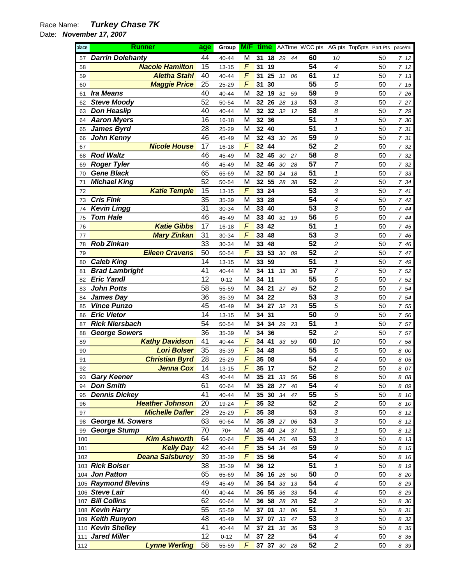## Race Name: **Turkey Chase 7K**

Date: **November 17, 2007** 

| place    | <b>Runner</b>                          | age | Group          | M/F        |                 | time  |    |    | AATime WCC pts AG pts Top5pts Part.Pts pace/mi |                            |    |              |
|----------|----------------------------------------|-----|----------------|------------|-----------------|-------|----|----|------------------------------------------------|----------------------------|----|--------------|
| 57       | <b>Darrin Dolehanty</b>                | 44  | 40-44          | М          |                 | 31 18 | 29 | 44 | 60                                             | 10                         | 50 | 712          |
| 58       | <b>Nacole Hamilton</b>                 | 15  | $13 - 15$      | F          | 31              | 19    |    |    | 54                                             | $\boldsymbol{4}$           | 50 | 7 12         |
| 59       | <b>Aletha Stahl</b>                    | 40  | 40-44          | F          | 31              | 25    | 31 | 06 | 61                                             | 11                         | 50 | 7 13         |
| 60       | <b>Maggie Price</b>                    | 25  | 25-29          | $\sqrt{2}$ | 31              | 30    |    |    | 55                                             | 5                          | 50 | 7 15         |
| 61       | <b>Ira Means</b>                       | 40  | 40-44          | M          | 32              | 19    | 31 | 59 | 59                                             | 9                          | 50 | 7 26         |
| 62       | <b>Steve Moody</b>                     | 52  | 50-54          | M          |                 | 32 26 | 28 | 13 | 53                                             | 3                          | 50 | 7 27         |
| 63       | <b>Don Heaslip</b>                     | 40  | 40-44          | M          |                 | 32 32 | 32 | 12 | 58                                             | 8                          | 50 | 7 29         |
| 64       | <b>Aaron Myers</b>                     | 16  | $16 - 18$      | M          | 32 36           |       |    |    | 51                                             | $\boldsymbol{\mathcal{I}}$ | 50 | 7 30         |
| 65       | <b>James Byrd</b>                      | 28  | 25-29          | M          | 32              | 40    |    |    | 51                                             | $\boldsymbol{\mathcal{I}}$ | 50 | 7 31         |
| 66       | <b>John Kenny</b>                      | 46  | 45-49          | M          | 32 <sub>2</sub> | 43    | 30 | 26 | 59                                             | 9                          | 50 | 7 31         |
| 67       | <b>Nicole House</b>                    | 17  | $16 - 18$      | F          | 32 <sub>2</sub> | 44    |    |    | 52                                             | $\overline{\mathbf{c}}$    | 50 | 7 32         |
| 68       | <b>Rod Waltz</b>                       | 46  | 45-49          | M          | 32              | 45    | 30 | 27 | 58                                             | 8                          | 50 | 7 32         |
| 69       | <b>Roger Tyler</b>                     | 46  | 45-49          | M          | 32              | 46    | 30 | 28 | 57                                             | 7                          | 50 | 7 32         |
| 70       | <b>Gene Black</b>                      | 65  | 65-69          | M          |                 | 32 50 | 24 | 18 | 51                                             | $\boldsymbol{\mathcal{I}}$ | 50 | 733          |
| 71       | <b>Michael King</b>                    | 52  | 50-54          | M          |                 | 32 55 | 28 | 38 | 52                                             | $\overline{c}$             | 50 | 7 34         |
| 72       | <b>Katie Temple</b>                    | 15  | $13 - 15$      | F          | 33              | 24    |    |    | 53                                             | 3                          | 50 | 741          |
| 73       | <b>Cris Fink</b>                       | 35  | 35-39          | M          | 33              | 28    |    |    | 54                                             | 4                          | 50 | 742          |
| 74       | <b>Kevin Lingg</b>                     | 31  | 30-34          | M          | 33              | 40    |    |    | 53                                             | 3                          | 50 | 744          |
| 75       | <b>Tom Hale</b>                        | 46  | 45-49          | M          | 33              | 40    | 31 | 19 | 56                                             | 6                          | 50 | 744          |
| 76       | <b>Katie Gibbs</b>                     | 17  | $16 - 18$      | F          | 33              | 42    |    |    | 51                                             | $\boldsymbol{\mathcal{I}}$ | 50 | 7 45         |
| 77       | <b>Mary Zinkan</b>                     | 31  | 30-34          | F          | 33              | 48    |    |    | 53                                             | 3                          | 50 | 746          |
| 78       | <b>Rob Zinkan</b>                      | 33  | 30-34          | M          | 33              | 48    |    |    | 52                                             | $\overline{\mathbf{c}}$    | 50 | 746          |
| 79       | <b>Eileen Cravens</b>                  | 50  | 50-54          | F          | 33              | 53    | 30 | 09 | 52                                             | $\overline{c}$             | 50 | 7 47         |
| 80       | <b>Caleb King</b>                      | 14  | $13 - 15$      | M          | 33              | 59    |    |    | 51                                             | $\boldsymbol{\mathcal{I}}$ | 50 | 749          |
| 81       | <b>Brad Lambright</b>                  | 41  | 40-44          | M          | 34              | 11    | 33 | 30 | 57                                             | 7                          | 50 | 7 52         |
|          | <b>Eric Yandl</b>                      | 12  | $0 - 12$       | M          | 34 11           |       |    |    | 55                                             | 5                          | 50 |              |
| 82       | <b>John Potts</b>                      | 58  |                | M          | 34 21           |       |    |    | 52                                             | $\overline{c}$             | 50 | 7 52         |
| 83       |                                        | 36  | 55-59          | M          | 34 22           |       | 27 | 49 | 53                                             |                            | 50 | 754          |
| 84       | <b>James Day</b><br><b>Vince Punzo</b> | 45  | 35-39          | M          |                 | 34 27 |    |    | 55                                             | 3<br>5                     | 50 | 754          |
| 85       | <b>Eric Vietor</b>                     | 14  | 45-49          | M          | 34 31           |       | 32 | 23 | 50                                             | 0                          | 50 | 755          |
| 86       | <b>Rick Niersbach</b>                  | 54  | 13-15          | M          |                 | 34 34 |    |    | 51                                             | $\boldsymbol{\mathcal{I}}$ | 50 | 756          |
| 87       | <b>George Sowers</b>                   | 36  | 50-54          | M          | 34 36           |       | 29 | 23 | 52                                             | $\overline{c}$             | 50 | 757          |
| 88       | <b>Kathy Davidson</b>                  | 41  | 35-39<br>40-44 | F          | 34              | 41    | 33 |    | 60                                             | 10                         | 50 | 757          |
| 89<br>90 | <b>Lori Bolser</b>                     | 35  | 35-39          | F          | 34              | 48    |    | 59 | 55                                             | 5                          | 50 | 758          |
| 91       | <b>Christian Byrd</b>                  | 28  | 25-29          | F          | 35              | 08    |    |    | 54                                             | 4                          | 50 | 8 00         |
| 92       | <b>Jenna Cox</b>                       | 14  | 13-15          | F          | 35 17           |       |    |    | 52                                             | 2                          | 50 | 8 05<br>8 07 |
| 93       | <b>Gary Keener</b>                     | 43  | $40 - 44$      | M          | 35 21           |       | 33 | 56 | 56                                             |                            | 50 | 8 08         |
| 94       | <b>Don Smith</b>                       | 61  | 60-64          | M          |                 | 35 28 | 27 | 40 | 54                                             | 6<br>4                     | 50 | 8 09         |
| 95       | <b>Dennis Dickey</b>                   | 41  | 40-44          | M          |                 | 35 30 | 34 | 47 | 55                                             | 5                          | 50 | 8 10         |
| 96       | <b>Heather Johnson</b>                 | 20  | 19-24          | F          |                 | 35 32 |    |    | 52                                             | 2                          | 50 | 8<br>10      |
| 97       | <b>Michelle Dafler</b>                 | 29  | 25-29          | F          |                 | 35 38 |    |    | 53                                             | 3                          | 50 | 8<br>12      |
| 98       | <b>George M. Sowers</b>                | 63  | 60-64          | M          |                 | 35 39 | 27 | 06 | 53                                             | 3                          | 50 | 8<br>12      |
| 99       | <b>George Stump</b>                    | 70  | $70+$          | M          |                 | 35 40 | 24 | 37 | 51                                             | 1                          | 50 | 8<br>12      |
| 100      | <b>Kim Ashworth</b>                    | 64  | 60-64          | F          |                 | 35 44 | 26 | 48 | 53                                             | 3                          | 50 | 8<br>13      |
| 101      | <b>Kelly Day</b>                       | 42  | 40-44          | F          |                 | 35 54 | 34 | 49 | 59                                             | 9                          | 50 | 8<br>15      |
| 102      | <b>Deana Salsburey</b>                 | 39  | 35-39          | F          | 35 56           |       |    |    | 54                                             | 4                          | 50 | 8<br>16      |
|          | 103 Rick Bolser                        | 38  | 35-39          | M          |                 | 36 12 |    |    | 51                                             | 1                          | 50 | 8<br>19      |
| 104      | <b>Jon Patton</b>                      | 65  | 65-69          | M          |                 | 36 16 | 26 | 50 | 50                                             | 0                          | 50 | 8 20         |
|          | 105 Raymond Blevins                    | 49  | 45-49          | M          |                 | 36 54 | 33 | 13 | 54                                             | 4                          | 50 | 8 2 9        |
|          | 106 Steve Lair                         | 40  | 40-44          | M          |                 | 36 55 | 36 | 33 | 54                                             | 4                          | 50 | 8 2 9        |
| 107      | <b>Bill Collins</b>                    | 62  | 60-64          | M          |                 | 36 58 | 28 | 28 | 52                                             | 2                          | 50 | 8 30         |
| 108      | <b>Kevin Harry</b>                     | 55  | 55-59          | M          | 37 01           |       | 31 | 06 | 51                                             | 1                          | 50 | 8 31         |
| 109      | <b>Keith Runyon</b>                    | 48  | 45-49          | M          |                 | 37 07 | 33 | 47 | 53                                             | 3                          | 50 | 8 32         |
|          | 110 Kevin Shelley                      | 41  | 40-44          | M          | 37 21           |       | 36 | 36 | 53                                             | 3                          | 50 | 8 3 5        |
| 111      | <b>Jared Miller</b>                    | 12  | $0 - 12$       | M          |                 | 37 22 |    |    | 54                                             | 4                          | 50 | 8 3 5        |
| 112      | <b>Lynne Werling</b>                   | 58  | 55-59          | F          |                 | 37 37 | 30 | 28 | 52                                             | 2                          | 50 | 8 3 9        |
|          |                                        |     |                |            |                 |       |    |    |                                                |                            |    |              |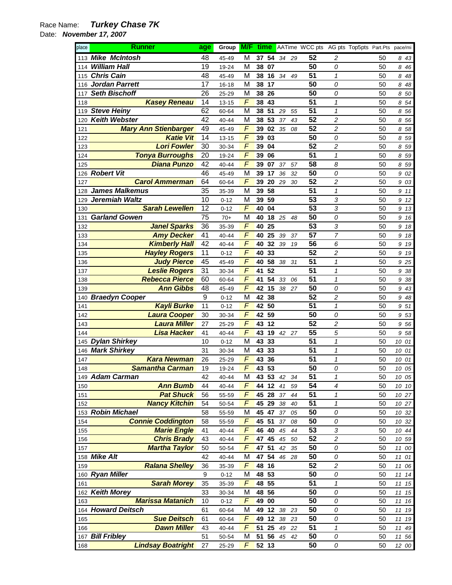## Race Name: **Turkey Chase 7K**

Date: **November 17, 2007** 

| place      | <b>Runner</b>                                | age      | Group             | M/F    | time           |          |    |          |                  | AATime WCC pts AG pts Top5pts Part.Pts pace/mi |          |                |
|------------|----------------------------------------------|----------|-------------------|--------|----------------|----------|----|----------|------------------|------------------------------------------------|----------|----------------|
| 113        | <b>Mike McIntosh</b>                         | 48       | 45-49             | М      | 37 54          | 34       | 29 | 52       | 2                |                                                | 50       | 843            |
| 114        | <b>William Hall</b>                          | 19       | 19-24             | М      | 38<br>07       |          |    | 50       | 0                |                                                | 50       | 8<br>46        |
| 115        | <b>Chris Cain</b>                            | 48       | 45-49             | M      | 38<br>16       | 34       | 49 | 51       | 1                |                                                | 50       | 8<br>48        |
| 116        | <b>Jordan Parrett</b>                        | 17       | $16 - 18$         | M      | 38<br>17       |          |    | 50       | 0                |                                                | 50       | 8<br>48        |
| 117        | <b>Seth Bischoff</b>                         | 26       | 25-29             | М      | 38<br>26       |          |    | 50       | 0                |                                                | 50       | 50<br>8        |
| 118        | <b>Kasey Reneau</b>                          | 14       | $13 - 15$         | F      | 38<br>43       |          |    | 51       | 1                |                                                | 50       | 54<br>8        |
| 119        | <b>Steve Heiny</b>                           | 62       | 60-64             | M      | 51<br>38       | 29       | 55 | 51       | 1                |                                                | 50       | 56<br>8        |
| 120        | <b>Keith Webster</b>                         | 42       | 40-44             | М      | 53<br>38       | 37       | 43 | 52       | 2                |                                                | 50       | 56<br>8        |
| 121        | <b>Mary Ann Stienbarger</b>                  | 49       | 45-49             | F      | 02<br>39       | 35       | 08 | 52       | 2                |                                                | 50       | 58<br>8        |
| 122        | <b>Katie Vit</b>                             | 14       | $13 - 15$         | F      | 39<br>03       |          |    | 50       | 0                |                                                | 50       | 59<br>8        |
| 123        | <b>Lori Fowler</b>                           | 30       | 30-34             | F      | 39<br>04       |          |    | 52       | 2                |                                                | 50       | 59<br>8        |
| 124        | <b>Tonya Burroughs</b>                       | 20       | 19-24             | F      | 39<br>06       |          |    | 51       | 1                |                                                | 50       | 59<br>8        |
| 125        | <b>Diana Punzo</b>                           | 42       | 40-44             | F      | 07<br>39       | 37       | 57 | 58       | 8                |                                                | 50       | 59<br>8        |
|            | 126 Robert Vit                               | 46       | 45-49             | M      | 39<br>17       | 36       | 32 | 50       | 0                |                                                | 50       | 02<br>9        |
| 127        | <b>Carol Ammerman</b>                        | 64       | 60-64             | F      | 39<br>20       | 29       | 30 | 52       | 2                |                                                | 50       | 03<br>9        |
| 128        | <b>James Malkemus</b>                        | 35       | 35-39             | M      | 58<br>39       |          |    | 51       | 1                |                                                | 50       | 9<br>11        |
| 129        | Jeremiah Waltz                               | 10       | $0 - 12$          | М      | 39<br>59       |          |    | 53       | 3                |                                                | 50       | 9<br>12        |
| 130        | <b>Sarah Lewellen</b>                        | 12       | $0 - 12$          | F      | 40<br>04       |          |    | 53       | 3                |                                                | 50       | 13<br>9        |
| 131        | <b>Garland Gowen</b>                         | 75       | $70+$             | М      | 18<br>40       | 25       | 48 | 50       | 0                |                                                | 50       | 16<br>9        |
| 132        | <b>Janel Sparks</b>                          | 36       | 35-39             | F      | 25<br>40       |          |    | 53       | 3                |                                                | 50       | 18<br>9        |
| 133        | <b>Amy Decker</b>                            | 41       | 40-44             | F      | 25<br>40       | 39       | 37 | 57       | 7                |                                                | 50       | 18<br>9        |
| 134        | <b>Kimberly Hall</b>                         | 42       | 40-44             | F      | 32<br>40       | 39       | 19 | 56       | 6                |                                                | 50       | 19<br>9        |
| 135        | <b>Hayley Rogers</b>                         | 11       | $0 - 12$          | F      | 33<br>40       |          |    | 52       | 2                |                                                | 50       | 19<br>9        |
| 136        | <b>Judy Pierce</b>                           | 45       | 45-49             | F      | 58<br>40       | 38       | 31 | 51       | 1                |                                                | 50       | 25<br>9        |
| 137        | <b>Leslie Rogers</b>                         | 31       | 30-34             | F      | 52<br>41       |          |    | 51       | 1                |                                                | 50       | 38<br>9        |
| 138        | <b>Rebecca Pierce</b>                        | 60       | 60-64             | F      | 54<br>41       | 33       | 06 | 51       | 1                |                                                | 50       | 38<br>9        |
| 139        | <b>Ann Gibbs</b>                             | 48       | 45-49             | F      | 15<br>42       | 38       | 27 | 50       | 0                |                                                | 50       | 43<br>9        |
| 140        | <b>Braedyn Cooper</b>                        | 9        | $0 - 12$          | М      | 38<br>42       |          |    | 52       | 2                |                                                | 50       | 48<br>9        |
| 141        | <b>Kayli Burke</b>                           | 11       | $0 - 12$          | F      | 42<br>50       |          |    | 51       | 1                |                                                | 50       | 51<br>9        |
| 142        | <b>Laura Cooper</b>                          | 30       | 30-34             | F      | 42<br>59       |          |    | 50       | 0                |                                                | 50       | 53<br>9        |
| 143        | <b>Laura Miller</b>                          | 27       | 25-29             | F      | 12<br>43       |          |    | 52       | 2                |                                                | 50       | 56<br>9        |
| 144        | Lisa Hacker                                  | 41       | 40-44             | F      | 19<br>43       | 42 27    |    | 55       | 5                |                                                | 50       | 58<br>9        |
| 145        | <b>Dylan Shirkey</b>                         | 10       | $0 - 12$          | М      | 33<br>43       |          |    | 51       | 1                |                                                | 50       | 10<br>01       |
| 146        | <b>Mark Shirkey</b>                          | 31       | 30-34             | М      | 33<br>43       |          |    | 51       | 1                |                                                | 50       | 10<br>01       |
| 147        | <b>Kara Newman</b>                           | 26       | 25-29             | F      | 43<br>36       |          |    | 51       | 1                |                                                | 50       | 10<br>01       |
| 148        | <b>Samantha Carman</b>                       | 19       | 19-24             | F      | 43<br>53       |          |    | 50       | 0                |                                                | 50       | 10 05          |
| 149        | <b>Adam Carman</b>                           | 42       | $40 - 44$         | M      | 53<br>43       | 42       | 34 | 51       | 1                |                                                | 50       | 10 05          |
| 150        | <b>Ann Bumb</b>                              | 44       | 40-44             | F      | 12<br>44       | 41       | 59 | 54       | $\boldsymbol{4}$ |                                                | 50       | 10 10          |
| 151        | <b>Pat Shuck</b>                             | 56       | 55-59             | F<br>F | 45<br>28       | 37       | 44 | 51       | 1                |                                                | 50       | 10 27          |
| 152        | <b>Nancy Kitchin</b><br><b>Robin Michael</b> | 54       | 50-54             |        | 45<br>29       | 38       | 40 | 51       | 1                |                                                | 50       | 10 27          |
| 153        | <b>Connie Coddington</b>                     | 58       | 55-59             | M<br>F | 45<br>47       | 37       | 05 | 50       | 0                |                                                | 50       | 10 32          |
| 154        | <b>Marie Engle</b>                           | 58<br>41 | 55-59             | F      | 45 51<br>46 40 | 37       | 08 | 50<br>53 | 0<br>3           |                                                | 50<br>50 | 10 32          |
| 155        | <b>Chris Brady</b>                           | 43       | 40-44             | F      | 45             | 45       | 44 | 52       | 2                |                                                | 50       | 10 44          |
| 156<br>157 | <b>Martha Taylor</b>                         |          | 40-44             | F      | 47<br>51       | 45<br>42 | 50 | 50       | 0                |                                                | 50       | 10 59          |
|            | 158 Mike Alt                                 | 50       | 50-54             |        | 47<br>54       |          | 35 | 50       |                  |                                                | 50       | 11<br>00       |
| 159        | <b>Ralana Shelley</b>                        | 42<br>36 | 40-44             | M<br>F | 47<br>48<br>16 | 46       | 28 | 52       | 0<br>2           |                                                | 50       | 11<br>01<br>11 |
|            | 160 Ryan Miller                              | 9        | 35-39<br>$0 - 12$ | M      | 48<br>53       |          |    | 50       | 0                |                                                | 50       | 06<br>11<br>14 |
| 161        | <b>Sarah Morey</b>                           | 35       | 35-39             | F      | 48<br>55       |          |    | 51       | 1                |                                                | 50       | 11<br>15       |
| 162        | <b>Keith Morey</b>                           | 33       | 30-34             | M      | 48<br>56       |          |    | 50       | 0                |                                                | 50       | 11<br>15       |
| 163        | <b>Marissa Matanich</b>                      | 10       | $0 - 12$          | F      | 49<br>00       |          |    | 50       | 0                |                                                | 50       | 11<br>16       |
|            | 164 Howard Deitsch                           | 61       | 60-64             | M      | 12<br>49       | 38       | 23 | 50       | 0                |                                                | 50       | 11<br>19       |
| 165        | <b>Sue Deitsch</b>                           | 61       | 60-64             | F      | 49<br>12       | 38       | 23 | 50       | 0                |                                                | 50       | 11<br>19       |
| 166        | <b>Dawn Miller</b>                           | 43       | 40-44             | F      | 51<br>25       | 49       | 22 | 51       | 1                |                                                | 50       | 11<br>49       |
| 167        | <b>Bill Fribley</b>                          | 51       | 50-54             | M      | 51<br>56       | 45       | 42 | 50       | 0                |                                                | 50       | 11<br>56       |
| 168        | <b>Lindsay Boatright</b>                     | 27       | 25-29             | F      | 52 13          |          |    | 50       | 0                |                                                | 50       | 12 00          |
|            |                                              |          |                   |        |                |          |    |          |                  |                                                |          |                |